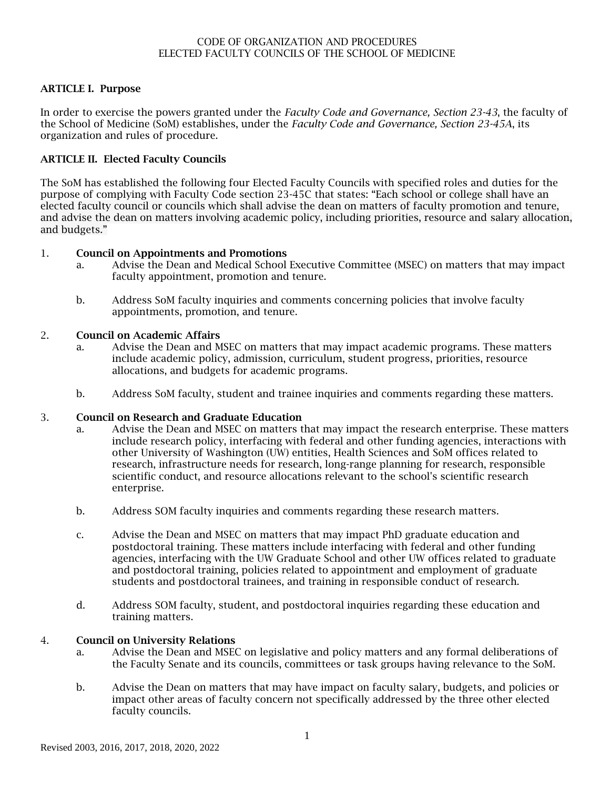# ARTICLE I. Purpose

In order to exercise the powers granted under the *Faculty Code and Governance, Section 23-43*, the faculty of the School of Medicine (SoM) establishes, under the *Faculty Code and Governance, Section 23-45A*, its organization and rules of procedure.

# ARTICLE II. Elected Faculty Councils

The SoM has established the following four Elected Faculty Councils with specified roles and duties for the purpose of complying with Faculty Code section 23-45C that states: "Each school or college shall have an elected faculty council or councils which shall advise the dean on matters of faculty promotion and tenure, and advise the dean on matters involving academic policy, including priorities, resource and salary allocation, and budgets."

## 1. Council on Appointments and Promotions

- a. Advise the Dean and Medical School Executive Committee (MSEC) on matters that may impact faculty appointment, promotion and tenure.
- b. Address SoM faculty inquiries and comments concerning policies that involve faculty appointments, promotion, and tenure.

## 2. Council on Academic Affairs

- a. Advise the Dean and MSEC on matters that may impact academic programs. These matters include academic policy, admission, curriculum, student progress, priorities, resource allocations, and budgets for academic programs.
- b. Address SoM faculty, student and trainee inquiries and comments regarding these matters.

## 3. Council on Research and Graduate Education

- a. Advise the Dean and MSEC on matters that may impact the research enterprise. These matters include research policy, interfacing with federal and other funding agencies, interactions with other University of Washington (UW) entities, Health Sciences and SoM offices related to research, infrastructure needs for research, long-range planning for research, responsible scientific conduct, and resource allocations relevant to the school's scientific research enterprise.
- b. Address SOM faculty inquiries and comments regarding these research matters.
- c. Advise the Dean and MSEC on matters that may impact PhD graduate education and postdoctoral training. These matters include interfacing with federal and other funding agencies, interfacing with the UW Graduate School and other UW offices related to graduate and postdoctoral training, policies related to appointment and employment of graduate students and postdoctoral trainees, and training in responsible conduct of research.
- d. Address SOM faculty, student, and postdoctoral inquiries regarding these education and training matters.

# 4. Council on University Relations

- a. Advise the Dean and MSEC on legislative and policy matters and any formal deliberations of the Faculty Senate and its councils, committees or task groups having relevance to the SoM.
- b. Advise the Dean on matters that may have impact on faculty salary, budgets, and policies or impact other areas of faculty concern not specifically addressed by the three other elected faculty councils.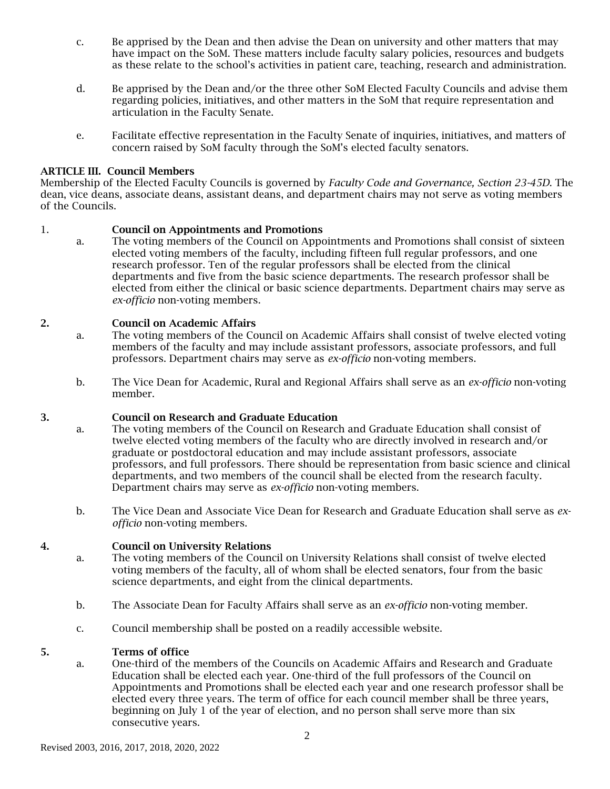- c. Be apprised by the Dean and then advise the Dean on university and other matters that may have impact on the SoM. These matters include faculty salary policies, resources and budgets as these relate to the school's activities in patient care, teaching, research and administration.
- d. Be apprised by the Dean and/or the three other SoM Elected Faculty Councils and advise them regarding policies, initiatives, and other matters in the SoM that require representation and articulation in the Faculty Senate.
- e. Facilitate effective representation in the Faculty Senate of inquiries, initiatives, and matters of concern raised by SoM faculty through the SoM's elected faculty senators.

### ARTICLE III. Council Members

Membership of the Elected Faculty Councils is governed by *Faculty Code and Governance, Section 23-45D*. The dean, vice deans, associate deans, assistant deans, and department chairs may not serve as voting members of the Councils.

### 1. Council on Appointments and Promotions

a. The voting members of the Council on Appointments and Promotions shall consist of sixteen elected voting members of the faculty, including fifteen full regular professors, and one research professor. Ten of the regular professors shall be elected from the clinical departments and five from the basic science departments. The research professor shall be elected from either the clinical or basic science departments. Department chairs may serve as *ex-officio* non-voting members.

### 2. Council on Academic Affairs

- a. The voting members of the Council on Academic Affairs shall consist of twelve elected voting members of the faculty and may include assistant professors, associate professors, and full professors. Department chairs may serve as *ex-officio* non-voting members.
- b. The Vice Dean for Academic, Rural and Regional Affairs shall serve as an *ex-officio* non-voting member.

### 3. Council on Research and Graduate Education

- a. The voting members of the Council on Research and Graduate Education shall consist of twelve elected voting members of the faculty who are directly involved in research and/or graduate or postdoctoral education and may include assistant professors, associate professors, and full professors. There should be representation from basic science and clinical departments, and two members of the council shall be elected from the research faculty. Department chairs may serve as *ex-officio* non-voting members.
- b. The Vice Dean and Associate Vice Dean for Research and Graduate Education shall serve as *exofficio* non-voting members.

#### 4. Council on University Relations

- a. The voting members of the Council on University Relations shall consist of twelve elected voting members of the faculty, all of whom shall be elected senators, four from the basic science departments, and eight from the clinical departments.
- b. The Associate Dean for Faculty Affairs shall serve as an *ex-officio* non-voting member.
- c. Council membership shall be posted on a readily accessible website.

## 5. Terms of office

a. One-third of the members of the Councils on Academic Affairs and Research and Graduate Education shall be elected each year. One-third of the full professors of the Council on Appointments and Promotions shall be elected each year and one research professor shall be elected every three years. The term of office for each council member shall be three years, beginning on July 1 of the year of election, and no person shall serve more than six consecutive years.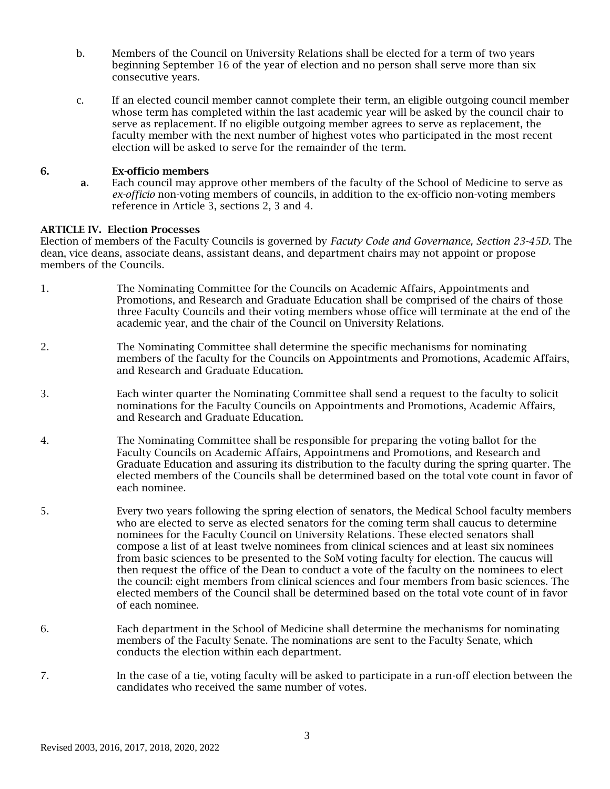- b. Members of the Council on University Relations shall be elected for a term of two years beginning September 16 of the year of election and no person shall serve more than six consecutive years.
- c. If an elected council member cannot complete their term, an eligible outgoing council member whose term has completed within the last academic year will be asked by the council chair to serve as replacement. If no eligible outgoing member agrees to serve as replacement, the faculty member with the next number of highest votes who participated in the most recent election will be asked to serve for the remainder of the term.

# 6. Ex-officio members

a. Each council may approve other members of the faculty of the School of Medicine to serve as *ex-officio* non-voting members of councils, in addition to the ex-officio non-voting members reference in Article 3, sections 2, 3 and 4.

## ARTICLE IV. Election Processes

Election of members of the Faculty Councils is governed by *Facuty Code and Governance, Section 23-45D.* The dean, vice deans, associate deans, assistant deans, and department chairs may not appoint or propose members of the Councils.

- 1. The Nominating Committee for the Councils on Academic Affairs, Appointments and Promotions, and Research and Graduate Education shall be comprised of the chairs of those three Faculty Councils and their voting members whose office will terminate at the end of the academic year, and the chair of the Council on University Relations.
- 2. The Nominating Committee shall determine the specific mechanisms for nominating members of the faculty for the Councils on Appointments and Promotions, Academic Affairs, and Research and Graduate Education.
- 3. Each winter quarter the Nominating Committee shall send a request to the faculty to solicit nominations for the Faculty Councils on Appointments and Promotions, Academic Affairs, and Research and Graduate Education.
- 4. The Nominating Committee shall be responsible for preparing the voting ballot for the Faculty Councils on Academic Affairs, Appointmens and Promotions, and Research and Graduate Education and assuring its distribution to the faculty during the spring quarter. The elected members of the Councils shall be determined based on the total vote count in favor of each nominee.
- 5. Every two years following the spring election of senators, the Medical School faculty members who are elected to serve as elected senators for the coming term shall caucus to determine nominees for the Faculty Council on University Relations. These elected senators shall compose a list of at least twelve nominees from clinical sciences and at least six nominees from basic sciences to be presented to the SoM voting faculty for election. The caucus will then request the office of the Dean to conduct a vote of the faculty on the nominees to elect the council: eight members from clinical sciences and four members from basic sciences. The elected members of the Council shall be determined based on the total vote count of in favor of each nominee.
- 6. Each department in the School of Medicine shall determine the mechanisms for nominating members of the Faculty Senate. The nominations are sent to the Faculty Senate, which conducts the election within each department.
- 7. In the case of a tie, voting faculty will be asked to participate in a run-off election between the candidates who received the same number of votes.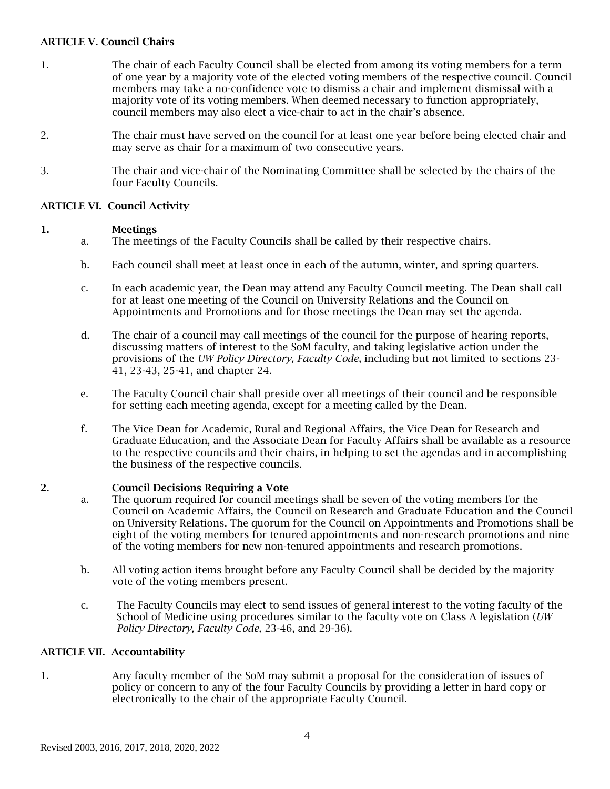# ARTICLE V. Council Chairs

- 1. The chair of each Faculty Council shall be elected from among its voting members for a term of one year by a majority vote of the elected voting members of the respective council. Council members may take a no-confidence vote to dismiss a chair and implement dismissal with a majority vote of its voting members. When deemed necessary to function appropriately, council members may also elect a vice-chair to act in the chair's absence.
- 2. The chair must have served on the council for at least one year before being elected chair and may serve as chair for a maximum of two consecutive years.
- 3. The chair and vice-chair of the Nominating Committee shall be selected by the chairs of the four Faculty Councils.

# ARTICLE VI. Council Activity

## 1. Meetings

- a. The meetings of the Faculty Councils shall be called by their respective chairs.
- b. Each council shall meet at least once in each of the autumn, winter, and spring quarters.
- c. In each academic year, the Dean may attend any Faculty Council meeting. The Dean shall call for at least one meeting of the Council on University Relations and the Council on Appointments and Promotions and for those meetings the Dean may set the agenda.
- d. The chair of a council may call meetings of the council for the purpose of hearing reports, discussing matters of interest to the SoM faculty, and taking legislative action under the provisions of the *UW Policy Directory, Faculty Code*, including but not limited to sections 23- 41, 23-43, 25-41, and chapter 24.
- e. The Faculty Council chair shall preside over all meetings of their council and be responsible for setting each meeting agenda, except for a meeting called by the Dean.
- f. The Vice Dean for Academic, Rural and Regional Affairs, the Vice Dean for Research and Graduate Education, and the Associate Dean for Faculty Affairs shall be available as a resource to the respective councils and their chairs, in helping to set the agendas and in accomplishing the business of the respective councils.

## 2. Council Decisions Requiring a Vote

- a. The quorum required for council meetings shall be seven of the voting members for the Council on Academic Affairs, the Council on Research and Graduate Education and the Council on University Relations. The quorum for the Council on Appointments and Promotions shall be eight of the voting members for tenured appointments and non-research promotions and nine of the voting members for new non-tenured appointments and research promotions.
- b. All voting action items brought before any Faculty Council shall be decided by the majority vote of the voting members present.
- c. The Faculty Councils may elect to send issues of general interest to the voting faculty of the School of Medicine using procedures similar to the faculty vote on Class A legislation (*UW Policy Directory, Faculty Code,* 23-46, and 29-36).

# ARTICLE VII. Accountability

1. Any faculty member of the SoM may submit a proposal for the consideration of issues of policy or concern to any of the four Faculty Councils by providing a letter in hard copy or electronically to the chair of the appropriate Faculty Council.